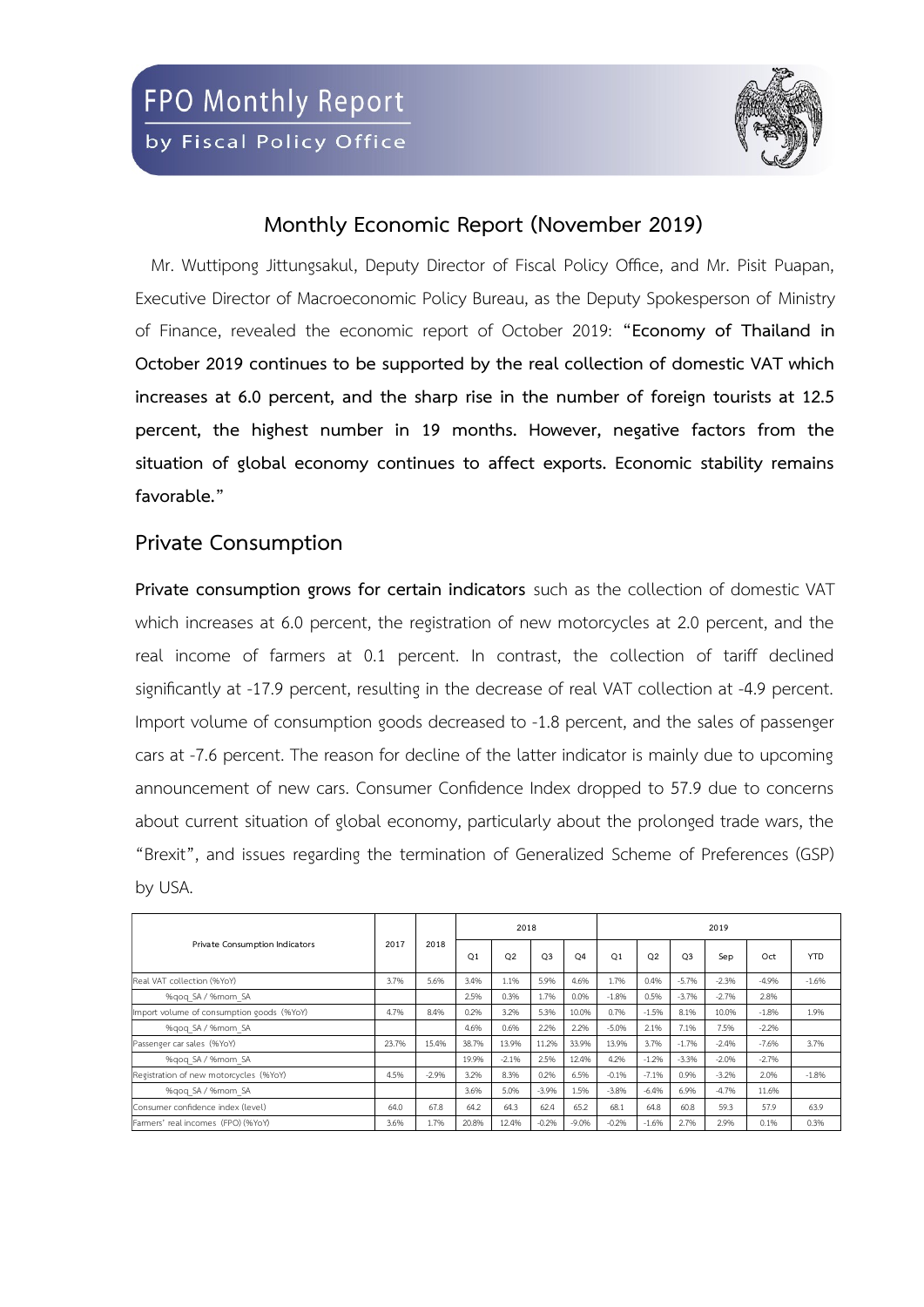

## **Monthly Economic Report (November 2019)**

Mr. Wuttipong Jittungsakul, Deputy Director of Fiscal Policy Office, and Mr. Pisit Puapan, Executive Director of Macroeconomic Policy Bureau, as the Deputy Spokesperson of Ministry of Finance, revealed the economic report of October 2019: **"Economy of Thailand in October 2019 continues to be supported by the real collection of domestic VAT which increases at 6.0 percent, and the sharp rise in the number of foreign tourists at 12.5 percent, the highest number in 19 months. However, negative factors from the situation of global economy continues to affect exports. Economic stability remains favorable."**

## **Private Consumption**

**Private consumption grows for certain indicators** such as the collection of domestic VAT which increases at 6.0 percent, the registration of new motorcycles at 2.0 percent, and the real income of farmers at 0.1 percent. In contrast, the collection of tariff declined significantly at -17.9 percent, resulting in the decrease of real VAT collection at -4.9 percent. Import volume of consumption goods decreased to -1.8 percent, and the sales of passenger cars at -7.6 percent. The reason for decline of the latter indicator is mainly due to upcoming announcement of new cars. Consumer Confidence Index dropped to 57.9 due to concerns about current situation of global economy, particularly about the prolonged trade wars, the "Brexit", and issues regarding the termination of Generalized Scheme of Preferences (GSP) by USA.

|                                           |       | 2018     |                | 2018           |                |                | 2019           |                |                |          |          |            |  |  |
|-------------------------------------------|-------|----------|----------------|----------------|----------------|----------------|----------------|----------------|----------------|----------|----------|------------|--|--|
| Private Consumption Indicators            | 2017  |          | O <sub>1</sub> | O <sub>2</sub> | O <sub>3</sub> | O <sub>4</sub> | O <sub>1</sub> | O <sub>2</sub> | O <sub>3</sub> | Sep      | Oct      | <b>YTD</b> |  |  |
| Real VAT collection (%YoY)                | 3.7%  | 5.6%     | 3.4%           | 1.1%           | 5.9%           | 4.6%           | 1.7%           | 0.4%           | $-5.7%$        | $-2.396$ | $-4.9%$  | $-1.6%$    |  |  |
| %gog SA / %mom SA                         |       |          | 2.5%           | 0.3%           | 1.7%           | 0.0%           | $-1.8%$        | 0.5%           | $-3.7%$        | $-2.796$ | 2.8%     |            |  |  |
| Import volume of consumption goods (%YoY) | 4.7%  | 8.4%     | 0.2%           | 3.2%           | 5.3%           | 10.0%          | 0.7%           | $-1.5%$        | 8.1%           | 10.0%    | $-1.8%$  | 1.9%       |  |  |
| %gog SA / %mom SA                         |       |          | 4.6%           | 0.6%           | 2.2%           | 2.2%           | $-5.0%$        | 2.1%           | 7.1%           | 7.5%     | $-2.2%$  |            |  |  |
| Passenger car sales (%YoY)                | 23.7% | 15.4%    | 38.7%          | 13.9%          | 11.2%          | 33.9%          | 13.9%          | 3.7%           | $-1.796$       | $-2.4%$  | $-7.696$ | 3.7%       |  |  |
| %gog SA / %mom SA                         |       |          | 19.9%          | $-2.1%$        | 2.5%           | 12.4%          | 4.2%           | $-1.296$       | $-3.396$       | $-2.0%$  | $-2.796$ |            |  |  |
| Registration of new motorcycles (%YoY)    | 4.5%  | $-2.996$ | 3.2%           | 8.3%           | 0.2%           | 6.5%           | $-0.196$       | $-7.196$       | 0.9%           | $-3.2%$  | 2.0%     | $-1.8%$    |  |  |
| %gog SA / %mom SA                         |       |          | 3.6%           | 5.0%           | $-3.9%$        | 1.5%           | $-3.8%$        | $-6.4%$        | 6.9%           | $-4.796$ | 11.6%    |            |  |  |
| Consumer confidence index (level)         | 64.0  | 67.8     | 64.2           | 64.3           | 62.4           | 65.2           | 68.1           | 64.8           | 60.8           | 59.3     | 57.9     | 63.9       |  |  |
| Farmers' real incomes (FPO) (%YoY)        | 3.6%  | 1.7%     | 20.8%          | 12.4%          | $-0.2%$        | $-9.0%$        | $-0.296$       | $-1.696$       | 2.7%           | 2.9%     | 0.1%     | 0.3%       |  |  |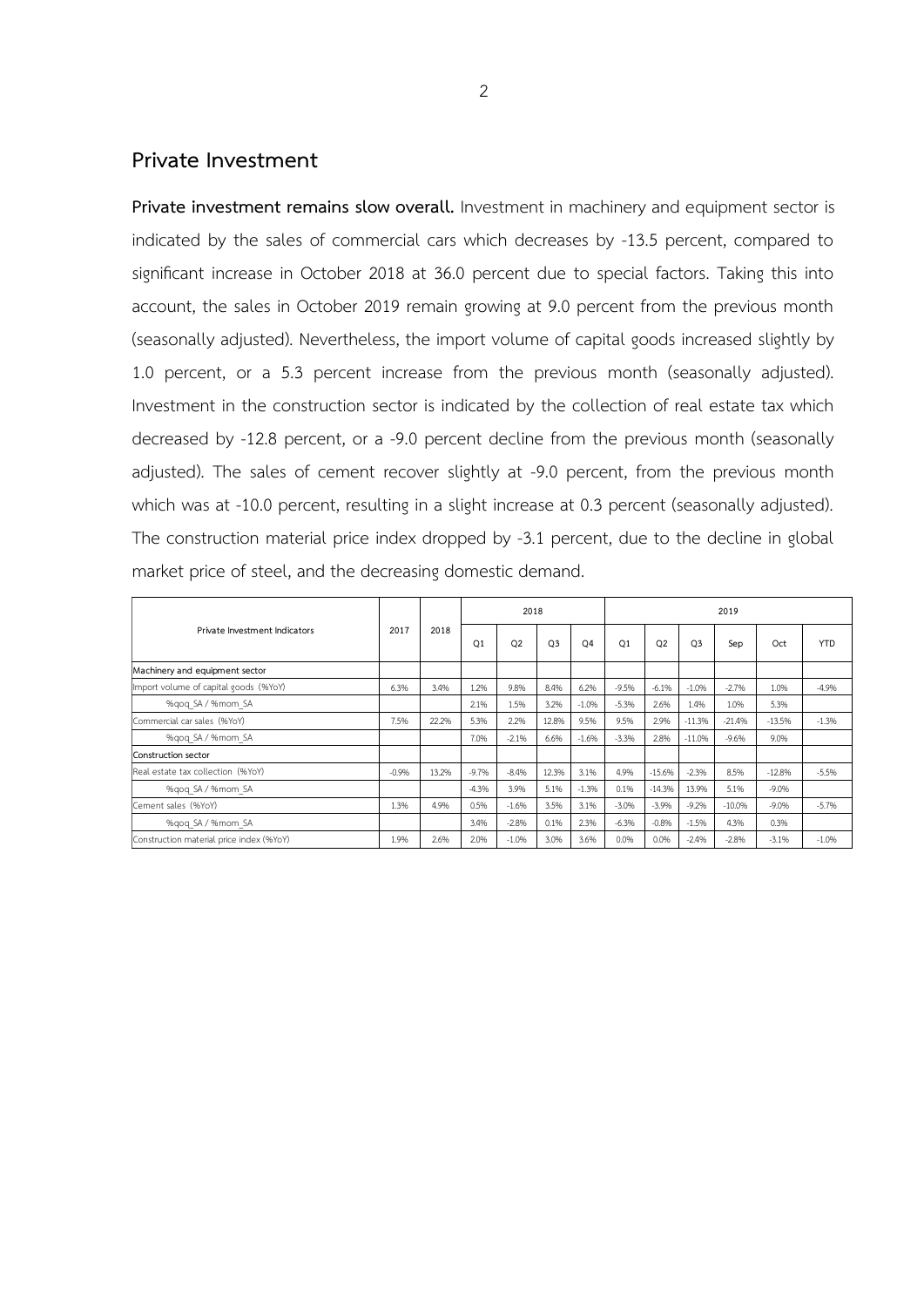#### **Private Investment**

**Private investment remains slow overall.** Investment in machinery and equipment sector is indicated by the sales of commercial cars which decreases by -13.5 percent, compared to significant increase in October 2018 at 36.0 percent due to special factors. Taking this into account, the sales in October 2019 remain growing at 9.0 percent from the previous month (seasonally adjusted). Nevertheless, the import volume of capital goods increased slightly by 1.0 percent, or a 5.3 percent increase from the previous month (seasonally adjusted). Investment in the construction sector is indicated by the collection of real estate tax which decreased by -12.8 percent, or a -9.0 percent decline from the previous month (seasonally adjusted). The sales of cement recover slightly at -9.0 percent, from the previous month which was at -10.0 percent, resulting in a slight increase at 0.3 percent (seasonally adjusted). The construction material price index dropped by -3.1 percent, due to the decline in global market price of steel, and the decreasing domestic demand.

|                                          | 2017     | 2018  |                | 2018      |                |                | 2019           |                |                |          |          |            |  |  |
|------------------------------------------|----------|-------|----------------|-----------|----------------|----------------|----------------|----------------|----------------|----------|----------|------------|--|--|
| Private Investment Indicators            |          |       | O <sub>1</sub> | <b>O2</b> | O <sub>3</sub> | O <sub>4</sub> | O <sub>1</sub> | O <sub>2</sub> | O <sub>3</sub> | Sep      | Oct      | <b>YTD</b> |  |  |
| Machinery and equipment sector           |          |       |                |           |                |                |                |                |                |          |          |            |  |  |
| Import volume of capital goods (%YoY)    | 6.3%     | 3.4%  | 1.2%           | 9.8%      | 8.4%           | 6.2%           | $-9.5%$        | $-6.1%$        | $-1.0%$        | $-2.7%$  | 1.0%     | $-4.9%$    |  |  |
| %qoq SA / %mom SA                        |          |       | 2.1%           | 1.5%      | 3.2%           | $-1.0%$        | $-5.3%$        | 2.6%           | 1.4%           | 1.0%     | 5.3%     |            |  |  |
| Commercial car sales (%YoY)              | 7.5%     | 22.2% | 5.3%           | 2.2%      | 12.8%          | 9.5%           | 9.5%           | 2.9%           | $-11.3%$       | $-21.4%$ | $-13.5%$ | $-1.3%$    |  |  |
| %qoq SA / %mom SA                        |          |       | 7.0%           | $-2.1%$   | 6.6%           | $-1.6%$        | $-3.3%$        | 2.8%           | $-11.0%$       | $-9.6%$  | 9.0%     |            |  |  |
| Construction sector                      |          |       |                |           |                |                |                |                |                |          |          |            |  |  |
| Real estate tax collection (%YoY)        | $-0.996$ | 13.2% | $-9.7%$        | $-8.4%$   | 12.3%          | 3.1%           | 4.9%           | $-15.6%$       | $-2.3%$        | 8.5%     | $-12.8%$ | $-5.5%$    |  |  |
| %gog SA / %mom SA                        |          |       | $-4.3%$        | 3.9%      | 5.1%           | $-1.3%$        | 0.1%           | $-14.3%$       | 13.9%          | 5.1%     | $-9.0%$  |            |  |  |
| Cement sales (%YoY)                      | 1.3%     | 4.9%  | 0.5%           | $-1.6%$   | 3.5%           | 3.1%           | $-3.0%$        | $-3.9%$        | $-9.2%$        | $-10.0%$ | $-9.0%$  | $-5.7%$    |  |  |
| %qoq SA / %mom SA                        |          |       | 3.4%           | $-2.8%$   | 0.1%           | 2.3%           | $-6.3%$        | $-0.8%$        | $-1.5%$        | 4.3%     | 0.3%     |            |  |  |
| Construction material price index (%YoY) | 1.9%     | 2.6%  | 2.0%           | $-1.0%$   | 3.0%           | 3.6%           | 0.0%           | 0.0%           | $-2.4%$        | $-2.8%$  | $-3.1%$  | $-1.0%$    |  |  |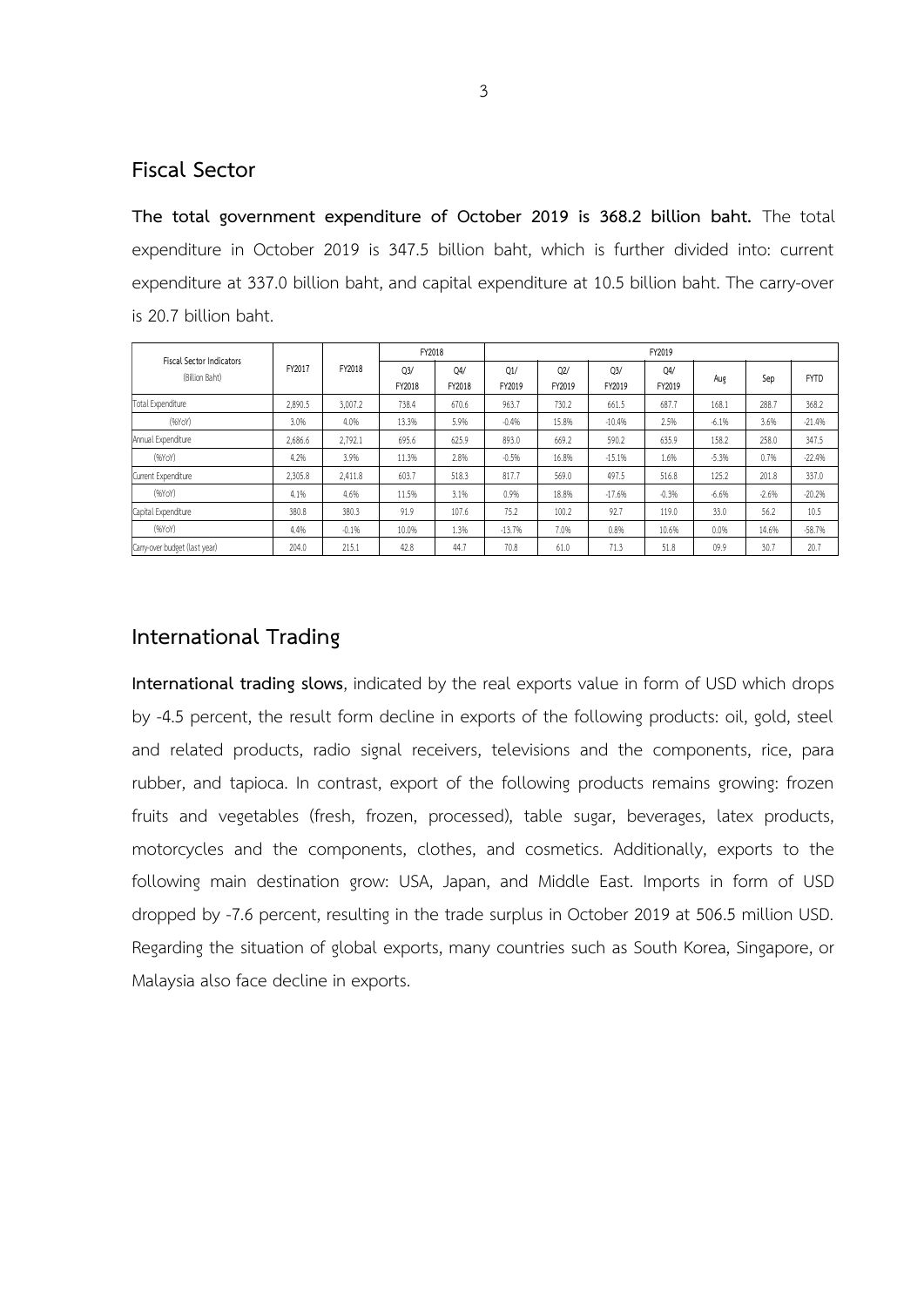#### **Fiscal Sector**

**The total government expenditure of October 2019 is 368.2 billion baht.** The total expenditure in October 2019 is 347.5 billion baht, which is further divided into: current expenditure at 337.0 billion baht, and capital expenditure at 10.5 billion baht. The carry-over is 20.7 billion baht.

|                                            |         | FY2018  | FY2018                   |               | FY2019        |               |                          |                          |         |         |             |  |  |  |  |
|--------------------------------------------|---------|---------|--------------------------|---------------|---------------|---------------|--------------------------|--------------------------|---------|---------|-------------|--|--|--|--|
| Fiscal Sector Indicators<br>(Billion Baht) | FY2017  |         | O <sub>3</sub><br>FY2018 | 04/<br>FY2018 | Q1/<br>FY2019 | Q2/<br>FY2019 | Q <sub>3</sub><br>FY2019 | O <sub>4</sub><br>FY2019 | Aug     | Sep     | <b>FYTD</b> |  |  |  |  |
| Total Expenditure                          | 2,890.5 | 3,007.2 | 738.4                    | 670.6         | 963.7         | 730.2         | 661.5                    | 687.7                    | 168.1   | 288.7   | 368.2       |  |  |  |  |
| (96YoY)                                    | 3.0%    | 4.0%    | 13.3%                    | 5.9%          | $-0.4%$       | 15.8%         | $-10.4%$                 | 2.5%                     | $-6.1%$ | 3.6%    | $-21.4%$    |  |  |  |  |
| Annual Expenditure                         | 2,686.6 | 2,792.1 | 695.6                    | 625.9         | 893.0         | 669.2         | 590.2                    | 635.9                    | 158.2   | 258.0   | 347.5       |  |  |  |  |
| (96YoY)                                    | 4.2%    | 3.9%    | 11.3%                    | 2.8%          | $-0.5%$       | 16.8%         | $-15.1%$                 | 1.6%                     | $-5.3%$ | 0.7%    | $-22.4%$    |  |  |  |  |
| Current Expenditure                        | 2,305.8 | 2.411.8 | 603.7                    | 518.3         | 817.7         | 569.0         | 497.5                    | 516.8                    | 125.2   | 201.8   | 337.0       |  |  |  |  |
| (96YoY)                                    | 4.1%    | 4.6%    | 11.5%                    | 3.1%          | 0.9%          | 18.8%         | $-17.6%$                 | $-0.3%$                  | $-6.6%$ | $-2.6%$ | $-20.2%$    |  |  |  |  |
| Capital Expenditure                        | 380.8   | 380.3   | 91.9                     | 107.6         | 75.2          | 100.2         | 92.7                     | 119.0                    | 33.0    | 56.2    | 10.5        |  |  |  |  |
| (96YoY)                                    | 4.4%    | $-0.1%$ | 10.0%                    | 1.3%          | $-13.7%$      | 7.0%          | 0.8%                     | 10.6%                    | 0.0%    | 14.6%   | $-58.7%$    |  |  |  |  |
| Carry-over budget (last year)              | 204.0   | 215.1   | 42.8                     | 44.7          | 70.8          | 61.0          | 71.3                     | 51.8                     | 09.9    | 30.7    | 20.7        |  |  |  |  |

### **International Trading**

**International trading slows**, indicated by the real exports value in form of USD which drops by -4.5 percent, the result form decline in exports of the following products: oil, gold, steel and related products, radio signal receivers, televisions and the components, rice, para rubber, and tapioca. In contrast, export of the following products remains growing: frozen fruits and vegetables (fresh, frozen, processed), table sugar, beverages, latex products, motorcycles and the components, clothes, and cosmetics. Additionally, exports to the following main destination grow: USA, Japan, and Middle East. Imports in form of USD dropped by -7.6 percent, resulting in the trade surplus in October 2019 at 506.5 million USD. Regarding the situation of global exports, many countries such as South Korea, Singapore, or Malaysia also face decline in exports.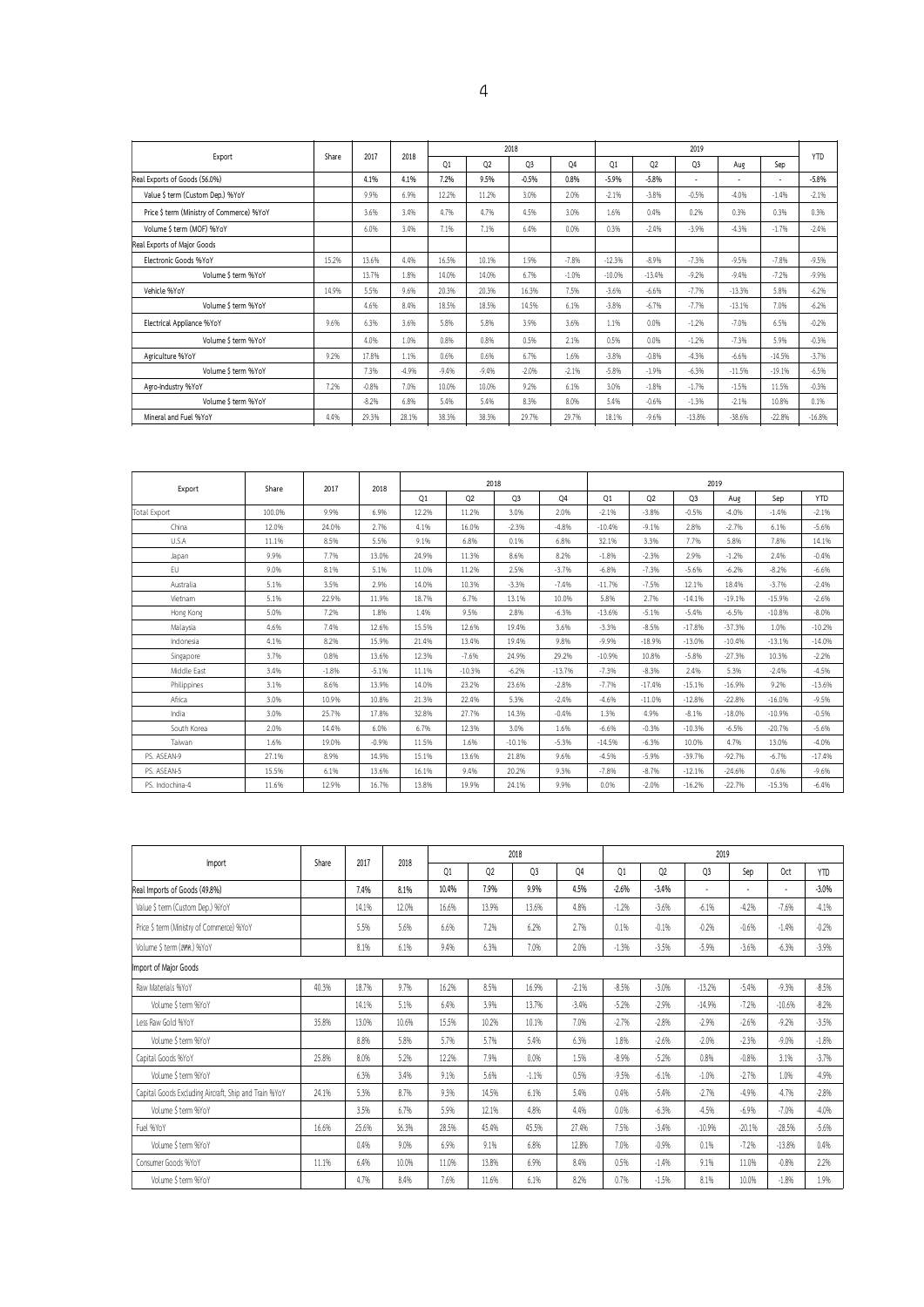| 01<br>02<br>$-5.9%$<br>$-5.8%$<br>$-3.8%$<br>$-2.196$<br>1.6%<br>0.4%<br>0.3%<br>$-2.4%$ | Q <sub>3</sub><br>٠<br>$-0.5%$<br>0.2%<br>$-3.9%$ | Aug<br>٠<br>$-4.0%$<br>0.3% | Sep<br>$\overline{\phantom{a}}$<br>$-1.496$<br>0.3% | <b>YTD</b><br>$-5.8%$<br>$-2.1%$ |
|------------------------------------------------------------------------------------------|---------------------------------------------------|-----------------------------|-----------------------------------------------------|----------------------------------|
|                                                                                          |                                                   |                             |                                                     |                                  |
|                                                                                          |                                                   |                             |                                                     |                                  |
|                                                                                          |                                                   |                             |                                                     |                                  |
|                                                                                          |                                                   |                             |                                                     | 0.3%                             |
|                                                                                          |                                                   | $-4.3%$                     | $-1.7%$                                             | $-2.4%$                          |
|                                                                                          |                                                   |                             |                                                     |                                  |
| $-12.396$<br>$-8.9%$                                                                     | $-7.3%$                                           | $-9.5%$                     | $-7.8%$                                             | $-9.5%$                          |
| $-10.0%$<br>$-13.4%$                                                                     | $-9.296$                                          | $-9.4%$                     | $-7.2%$                                             | $-9.996$                         |
| $-3.6%$<br>$-6.6%$                                                                       | $-7.7%$                                           | $-13.3%$                    | 5.8%                                                | $-6.2%$                          |
| $-3.8%$<br>$-6.7%$                                                                       | $-7.7%$                                           | $-13.1%$                    | 7.0%                                                | $-6.2%$                          |
| 1.1%<br>0.096                                                                            | $-1.296$                                          | $-7.0%$                     | 6.5%                                                | $-0.296$                         |
| 0.5%<br>0.0%                                                                             | $-1.2%$                                           | $-7.3%$                     | 5.9%                                                | $-0.3%$                          |
| $-3.896$<br>$-0.8%$                                                                      | $-4.3%$                                           | $-6.6%$                     | $-14.5%$                                            | $-3.796$                         |
| $-5.896$<br>$-1.996$                                                                     | $-6.396$                                          | $-11.5%$                    | $-19.1%$                                            | $-6.5%$                          |
| 3.0%<br>$-1.896$                                                                         | $-1.7%$                                           | $-1.5%$                     | 11.5%                                               | $-0.396$                         |
| 5.4%<br>$-0.6%$                                                                          | $-1.3%$                                           | $-2.1%$                     | 10.8%                                               | 0.1%                             |
| 18.1%                                                                                    | $-13.8%$                                          | $-38.6%$                    | $-22.8%$                                            | $-16.8%$                         |
|                                                                                          | $-9.6%$                                           |                             |                                                     |                                  |

| Export          | Share  | 2017    | 2018     |       |          | 2018           |          | 2019     |          |                |           |          |            |  |  |
|-----------------|--------|---------|----------|-------|----------|----------------|----------|----------|----------|----------------|-----------|----------|------------|--|--|
|                 |        |         |          | Q1    | Q2       | Q <sub>3</sub> | 04       | O1       | Q2       | Q <sub>3</sub> | Aug       | Sep      | <b>YTD</b> |  |  |
| Total Export    | 100.0% | 9.9%    | 6.9%     | 12.2% | 11.2%    | 3.0%           | 2.0%     | $-2.1%$  | $-3.8%$  | $-0.5%$        | $-4.0%$   | $-1.496$ | $-2.1%$    |  |  |
| China           | 12.0%  | 24.0%   | 2.7%     | 4.1%  | 16.0%    | $-2.3%$        | $-4.8%$  | $-10.4%$ | $-9.1%$  | 2.8%           | $-2.7%$   | 6.1%     | $-5.6%$    |  |  |
| U.S.A           | 11.1%  | 8.5%    | 5.5%     | 9.1%  | 6.8%     | 0.1%           | 6.8%     | 32.1%    | 3.3%     | 7.7%           | 5.8%      | 7.8%     | 14.1%      |  |  |
| Japan           | 9.9%   | 7.7%    | 13.0%    | 24.9% | 11.3%    | 8.6%           | 8.2%     | $-1.8%$  | $-2.3%$  | 2.9%           | $-1.296$  | 2.4%     | $-0.4%$    |  |  |
| EU              | 9.0%   | 8.1%    | 5.1%     | 11.0% | 11.2%    | 2.5%           | $-3.7%$  | $-6.8%$  | $-7.3%$  | $-5.6%$        | $-6.2%$   | $-8.2%$  | $-6.6%$    |  |  |
| Australia       | 5.1%   | 3.5%    | 2.9%     | 14.0% | 10.3%    | $-3.396$       | $-7.4%$  | $-11.7%$ | $-7.5%$  | 12.1%          | 18.4%     | $-3.7%$  | $-2.4%$    |  |  |
| Vietnam         | 5.1%   | 22.9%   | 11.9%    | 18.7% | 6.7%     | 13.1%          | 10.0%    | 5.8%     | 2.7%     | $-14.1%$       | $-19.1%$  | $-15.9%$ | $-2.6%$    |  |  |
| Hong Kong       | 5.0%   | 7.2%    | 1.8%     | 1.4%  | 9.5%     | 2.8%           | $-6.3%$  | $-13.6%$ | $-5.1%$  | $-5.4%$        | $-6.5%$   | $-10.8%$ | $-8.0%$    |  |  |
| Malaysia        | 4.6%   | 7.4%    | 12.6%    | 15.5% | 12.6%    | 19.4%          | 3.6%     | $-3.396$ | $-8.5%$  | $-17.8%$       | $-37.3%$  | 1.0%     | $-10.2%$   |  |  |
| Indonesia       | 4.1%   | 8.2%    | 15.9%    | 21.4% | 13.4%    | 19.4%          | 9.8%     | $-9.996$ | $-18.9%$ | $-13.0%$       | $-10.4%$  | $-13.1%$ | $-14.0%$   |  |  |
| Singapore       | 3.7%   | 0.8%    | 13.6%    | 12.3% | $-7.6%$  | 24.9%          | 29.2%    | $-10.9%$ | 10.8%    | $-5.8%$        | $-27.3%$  | 10.3%    | $-2.2%$    |  |  |
| Middle East     | 3.4%   | $-1.8%$ | $-5.1%$  | 11.1% | $-10.3%$ | $-6.296$       | $-13.7%$ | $-7.396$ | $-8.3%$  | 2.4%           | 5.3%      | $-2.4%$  | $-4.5%$    |  |  |
| Philippines     | 3.1%   | 8.6%    | 13.9%    | 14.0% | 23.2%    | 23.6%          | $-2.8%$  | $-7.796$ | $-17.4%$ | $-15.1%$       | $-16.996$ | 9.2%     | $-13.6%$   |  |  |
| Africa          | 3.0%   | 10.9%   | 10.8%    | 21.3% | 22.4%    | 5.3%           | $-2.4%$  | $-4.6%$  | $-11.0%$ | $-12.8%$       | $-22.8%$  | $-16.0%$ | $-9.5%$    |  |  |
| India           | 3.0%   | 25.7%   | 17.8%    | 32.8% | 27.7%    | 14.3%          | $-0.4%$  | 1.3%     | 4.9%     | $-8.1%$        | $-18.0%$  | $-10.9%$ | $-0.5%$    |  |  |
| South Korea     | 2.0%   | 14.4%   | 6.0%     | 6.7%  | 12.3%    | 3.0%           | 1.6%     | $-6.6%$  | $-0.3%$  | $-10.3%$       | $-6.5%$   | $-20.7%$ | $-5.6%$    |  |  |
| Taiwan          | 1.6%   | 19.0%   | $-0.996$ | 11.5% | 1.6%     | $-10.1%$       | $-5.3%$  | $-14.5%$ | $-6.3%$  | 10.0%          | 4.7%      | 13.0%    | $-4.0%$    |  |  |
| PS. ASEAN-9     | 27.1%  | 8.9%    | 14.9%    | 15.1% | 13.6%    | 21.8%          | 9.6%     | $-4.5%$  | $-5.996$ | $-39.7%$       | $-92.7%$  | $-6.796$ | $-17.4%$   |  |  |
| PS. ASEAN-5     | 15.5%  | 6.1%    | 13.6%    | 16.1% | 9.4%     | 20.2%          | 9.3%     | $-7.896$ | $-8.7%$  | $-12.1%$       | $-24.6%$  | 0.6%     | $-9.6%$    |  |  |
| PS. Indochina-4 | 11.6%  | 12.9%   | 16.7%    | 13.8% | 19.9%    | 24.1%          | 9.9%     | 0.0%     | $-2.0%$  | $-16.2%$       | $-22.7%$  | $-15.3%$ | $-6.4%$    |  |  |

|                                                       |       |       | 2018  |       |                | 2018    |         | 2019    |         |                          |          |                 |            |  |  |
|-------------------------------------------------------|-------|-------|-------|-------|----------------|---------|---------|---------|---------|--------------------------|----------|-----------------|------------|--|--|
| Import                                                | Share | 2017  |       | 01    | Q <sub>2</sub> | Q3      | 04      | 01      | Q2      | Q <sub>3</sub>           | Sep      | 0 <sub>ct</sub> | <b>YTD</b> |  |  |
| Real Imports of Goods (49.8%)                         |       | 7.4%  | 8.1%  | 10.4% | 7.9%           | 9.9%    | 4.5%    | $-2.6%$ | $-3.4%$ | $\overline{\phantom{a}}$ |          |                 | $-3.0%$    |  |  |
| Value \$ term (Custom Dep.) %YoY                      |       | 14.1% | 12.0% | 16.6% | 13.9%          | 13.6%   | 4.8%    | $-1.2%$ | $-3.6%$ | $-6.1%$                  | $-4.2%$  | $-7.6%$         | $-4.1%$    |  |  |
| Price \$ term (Ministry of Commerce) %YoY             |       | 5.5%  | 5.6%  | 6.6%  | 7.2%           | 6.2%    | 2.7%    | 0.1%    | $-0.1%$ | $-0.2%$                  | $-0.6%$  | $-1.4%$         | $-0.2%$    |  |  |
| Volume \$ term (ann.) %YoY                            |       | 8.1%  | 6.1%  | 9.4%  | 6.3%           | 7.0%    | 2.0%    | $-1.3%$ | $-3.5%$ | $-5.9%$                  | $-3.6%$  | $-6.3%$         | $-3.9%$    |  |  |
| Import of Major Goods                                 |       |       |       |       |                |         |         |         |         |                          |          |                 |            |  |  |
| Raw Materials %YoY                                    | 40.3% | 18.7% | 9.7%  | 16.2% | 8.5%           | 16.9%   | $-2.1%$ | $-8.5%$ | $-3.0%$ | $-13.2%$                 | $-5.4%$  | $-9.3%$         | $-8.5%$    |  |  |
| Volume \$ term %YoY                                   |       | 14.1% | 5.1%  | 6.4%  | 3.9%           | 13.7%   | $-3.4%$ | $-5.2%$ | $-2.9%$ | $-14.9%$                 | $-7.2%$  | $-10.6%$        | $-8.2%$    |  |  |
| Less Raw Gold %YoY                                    | 35.8% | 13.0% | 10.6% | 15.5% | 10.2%          | 10.1%   | 7.0%    | $-2.7%$ | $-2.8%$ | $-2.9%$                  | $-2.6%$  | $-9.2%$         | $-3.5%$    |  |  |
| Volume \$ term %YoY                                   |       | 8.8%  | 5.8%  | 5.7%  | 5.7%           | 5.4%    | 6.3%    | 1.8%    | $-2.6%$ | $-2.0%$                  | $-2.3%$  | $-9.0%$         | $-1.8%$    |  |  |
| Capital Goods %YoY                                    | 25.8% | 8.0%  | 5.2%  | 12.2% | 7.9%           | 0.0%    | 1.5%    | $-8.9%$ | $-5.2%$ | 0.8%                     | $-0.8%$  | 3.1%            | $-3.7%$    |  |  |
| Volume \$ term %YoY                                   |       | 6.3%  | 3.4%  | 9.1%  | 5.6%           | $-1.1%$ | 0.5%    | $-9.5%$ | $-6.1%$ | $-1.0%$                  | $-2.7%$  | 1.0%            | $-4.9%$    |  |  |
| Capital Goods Excluding Aircraft, Ship and Train %YoY | 24.1% | 5.3%  | 8.7%  | 9.3%  | 14.5%          | 6.1%    | 5.4%    | 0.4%    | $-5.4%$ | $-2.7%$                  | $-4.9%$  | $-4.7%$         | $-2.8%$    |  |  |
| Volume \$ term %YoY                                   |       | 3.5%  | 6.7%  | 5.9%  | 12.1%          | 4.8%    | 4.4%    | 0.0%    | $-6.3%$ | $-4.5%$                  | $-6.9%$  | $-7.0%$         | $-4.0%$    |  |  |
| Fuel %YoY                                             | 16.6% | 25.6% | 36.3% | 28.5% | 45.4%          | 45.5%   | 27.4%   | 7.5%    | $-3.4%$ | $-10.9%$                 | $-20.1%$ | $-28.5%$        | $-5.6%$    |  |  |
| Volume \$ term %YoY                                   |       | 0.4%  | 9.0%  | 6.9%  | 9.1%           | 6.8%    | 12.8%   | 7.0%    | $-0.9%$ | 0.1%                     | $-7.2%$  | $-13.8%$        | 0.4%       |  |  |
| Consumer Goods %YoY                                   | 11.1% | 6.4%  | 10.0% | 11.0% | 13.8%          | 6.9%    | 8.4%    | 0.5%    | $-1.4%$ | 9.1%                     | 11.0%    | $-0.8%$         | 2.2%       |  |  |
| Volume \$ term %YoY                                   |       | 4.7%  | 8.4%  | 7.6%  | 11.6%          | 6.1%    | 8.2%    | 0.7%    | $-1.5%$ | 8.1%                     | 10.0%    | $-1.8%$         | 1.9%       |  |  |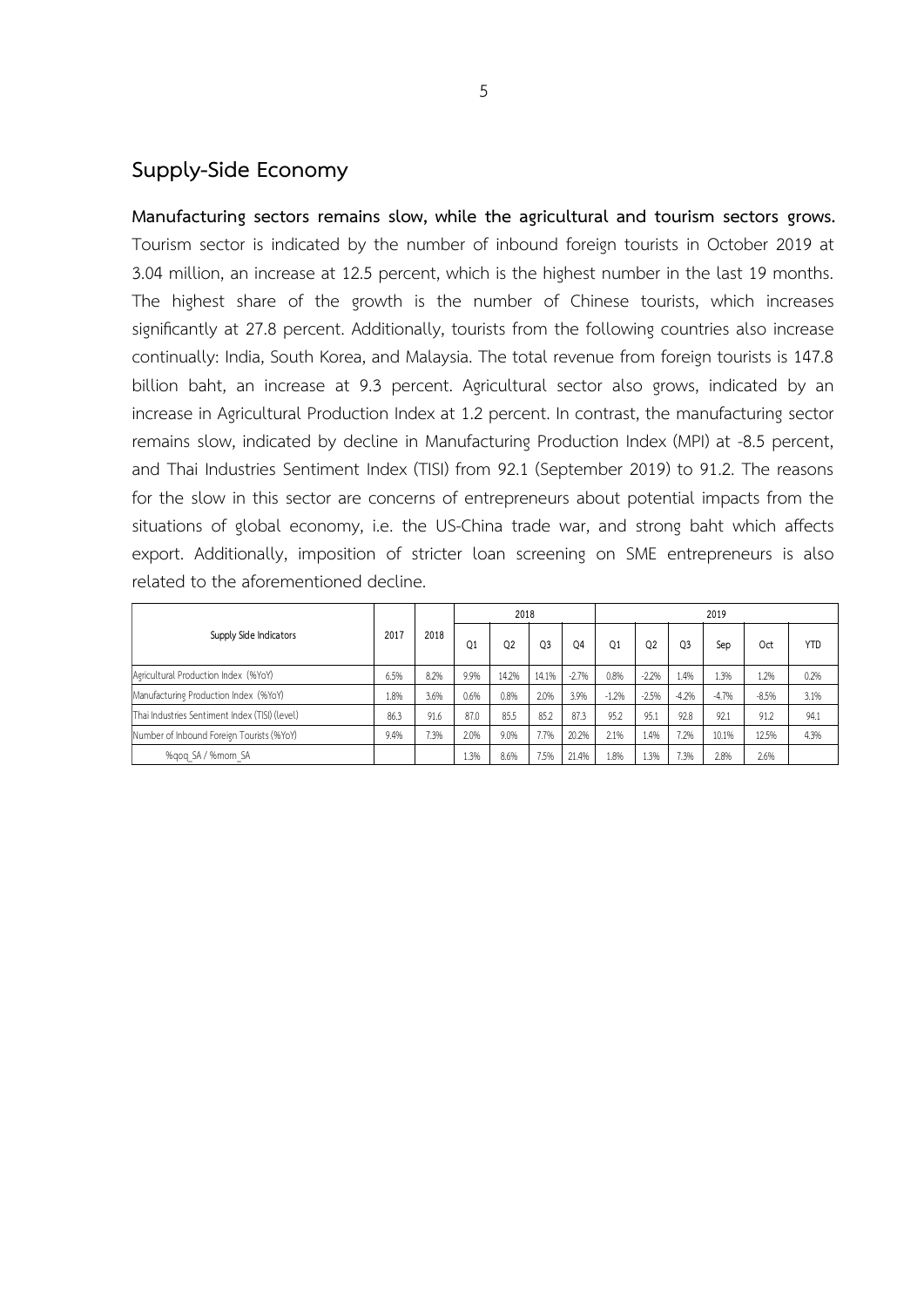### **Supply-Side Economy**

**Manufacturing sectors remains slow, while the agricultural and tourism sectors grows.** Tourism sector is indicated by the number of inbound foreign tourists in October 2019 at 3.04 million, an increase at 12.5 percent, which is the highest number in the last 19 months. The highest share of the growth is the number of Chinese tourists, which increases significantly at 27.8 percent. Additionally, tourists from the following countries also increase continually: India, South Korea, and Malaysia. The total revenue from foreign tourists is 147.8 billion baht, an increase at 9.3 percent. Agricultural sector also grows, indicated by an increase in Agricultural Production Index at 1.2 percent. In contrast, the manufacturing sector remains slow, indicated by decline in Manufacturing Production Index (MPI) at -8.5 percent, and Thai Industries Sentiment Index (TISI) from 92.1 (September 2019) to 91.2. The reasons for the slow in this sector are concerns of entrepreneurs about potential impacts from the situations of global economy, i.e. the US-China trade war, and strong baht which affects export. Additionally, imposition of stricter loan screening on SME entrepreneurs is also related to the aforementioned decline.

| Supply Side Indicators                         |      | 2018 |      | 2018           |       |                | 2019    |         |                |         |                 |            |  |  |
|------------------------------------------------|------|------|------|----------------|-------|----------------|---------|---------|----------------|---------|-----------------|------------|--|--|
|                                                | 2017 |      | Q1   | Q <sub>2</sub> | 03    | O <sub>4</sub> | 01      | 02      | O <sub>3</sub> | Sep     | 0 <sub>ct</sub> | <b>YTD</b> |  |  |
| Agricultural Production Index (%YoY)           | 6.5% | 8.2% | 9.9% | 14.2%          | 14.1% | $-2.7%$        | 0.8%    | $-2.2%$ | 1.4%           | 1.3%    | 1.2%            | 0.2%       |  |  |
| Manufacturing Production Index (%YoY)          | 1.8% | 3.6% | 0.6% | 0.8%           | 2.0%  | 3.9%           | $-1.2%$ | $-2.5%$ | $-4.2%$        | $-4.7%$ | $-8.5%$         | 3.1%       |  |  |
| Thai Industries Sentiment Index (TISI) (level) | 86.3 | 91.6 | 87.0 | 85.5           | 85.2  | 87.3           | 95.2    | 95.1    | 92.8           | 92.1    | 91.2            | 94.1       |  |  |
| Number of Inbound Foreign Tourists (%YoY)      | 9.4% | 7.3% | 2.0% | 9.0%           | 7.7%  | 20.2%          | 2.1%    | 1.4%    | 7.2%           | 10.1%   | 12.5%           | 4.3%       |  |  |
| %gog SA / %mom SA                              |      |      | 1.3% | 8.6%           | 7.5%  | 21.4%          | 1.8%    | 1.3%    | 7.3%           | 2.8%    | 2.6%            |            |  |  |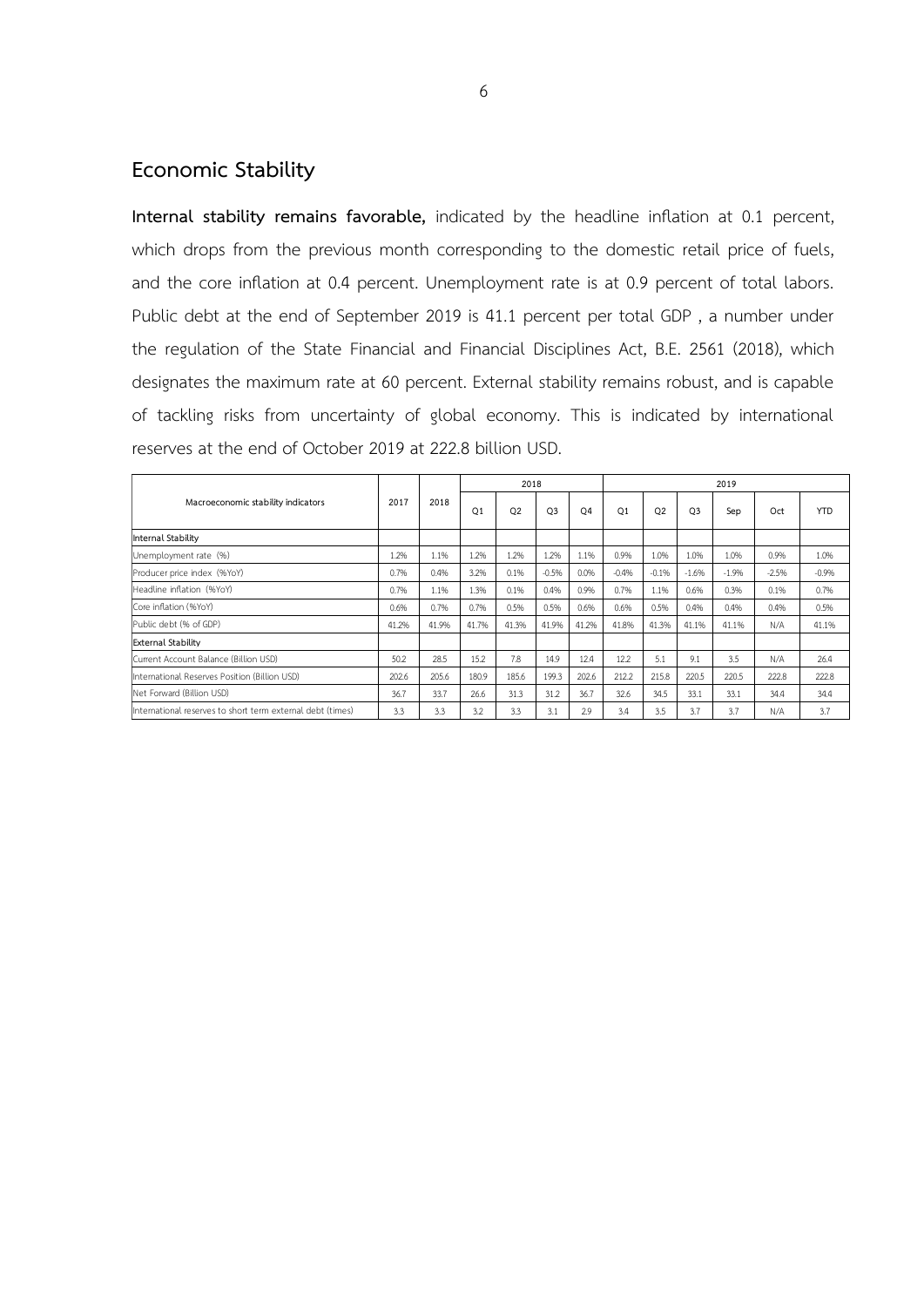## **Economic Stability**

**Internal stability remains favorable,** indicated by the headline inflation at 0.1 percent, which drops from the previous month corresponding to the domestic retail price of fuels, and the core inflation at 0.4 percent. Unemployment rate is at 0.9 percent of total labors. Public debt at the end of September 2019 is 41.1 percent per total GDP , a number under the regulation of the State Financial and Financial Disciplines Act, B.E. 2561 (2018), which designates the maximum rate at 60 percent. External stability remains robust, and is capable of tackling risks from uncertainty of global economy. This is indicated by international reserves at the end of October 2019 at 222.8 billion USD.

|                                                            |       |       |                | 2018           |                |                | 2019           |                |                |          |         |            |  |  |
|------------------------------------------------------------|-------|-------|----------------|----------------|----------------|----------------|----------------|----------------|----------------|----------|---------|------------|--|--|
| Macroeconomic stability indicators                         | 2017  | 2018  | O <sub>1</sub> | Q <sub>2</sub> | Q <sub>3</sub> | O <sub>4</sub> | O <sub>1</sub> | O <sub>2</sub> | O <sub>3</sub> | Sep      | Oct     | <b>YTD</b> |  |  |
| Internal Stability                                         |       |       |                |                |                |                |                |                |                |          |         |            |  |  |
| Unemployment rate (%)                                      | 1.2%  | 1.1%  | 1.2%           | 1.2%           | 1.2%           | 1.1%           | 0.9%           | 1.0%           | 1.0%           | 1.0%     | 0.9%    | 1.0%       |  |  |
| Producer price index (%YoY)                                | 0.7%  | 0.4%  | 3.2%           | 0.1%           | $-0.5%$        | 0.0%           | $-0.4%$        | $-0.1%$        | $-1.6%$        | $-1.996$ | $-2.5%$ | $-0.996$   |  |  |
| Headline inflation (%YoY)                                  | 0.7%  | 1.1%  | 1.3%           | 0.1%           | 0.4%           | 0.9%           | 0.7%           | 1.1%           | 0.6%           | 0.3%     | 0.1%    | 0.7%       |  |  |
| Core inflation (%YoY)                                      | 0.6%  | 0.7%  | 0.7%           | 0.5%           | 0.5%           | 0.6%           | 0.6%           | 0.5%           | 0.4%           | 0.4%     | 0.4%    | 0.5%       |  |  |
| Public debt (% of GDP)                                     | 41.2% | 41.9% | 41.7%          | 41.3%          | 41.9%          | 41.2%          | 41.8%          | 41.3%          | 41.1%          | 41.1%    | N/A     | 41.1%      |  |  |
| <b>External Stability</b>                                  |       |       |                |                |                |                |                |                |                |          |         |            |  |  |
| Current Account Balance (Billion USD)                      | 50.2  | 28.5  | 15.2           | 7.8            | 14.9           | 12.4           | 12.2           | 5.1            | 9.1            | 3.5      | N/A     | 26.4       |  |  |
| International Reserves Position (Billion USD)              | 202.6 | 205.6 | 180.9          | 185.6          | 199.3          | 202.6          | 212.2          | 215.8          | 220.5          | 220.5    | 222.8   | 222.8      |  |  |
| Net Forward (Billion USD)                                  | 36.7  | 33.7  | 26.6           | 31.3           | 31.2           | 36.7           | 32.6           | 34.5           | 33.1           | 33.1     | 34.4    | 34.4       |  |  |
| International reserves to short term external debt (times) | 3.3   | 3.3   | 3.2            | 3.3            | 3.1            | 2.9            | 3.4            | 3.5            | 3.7            | 3.7      | N/A     | 3.7        |  |  |